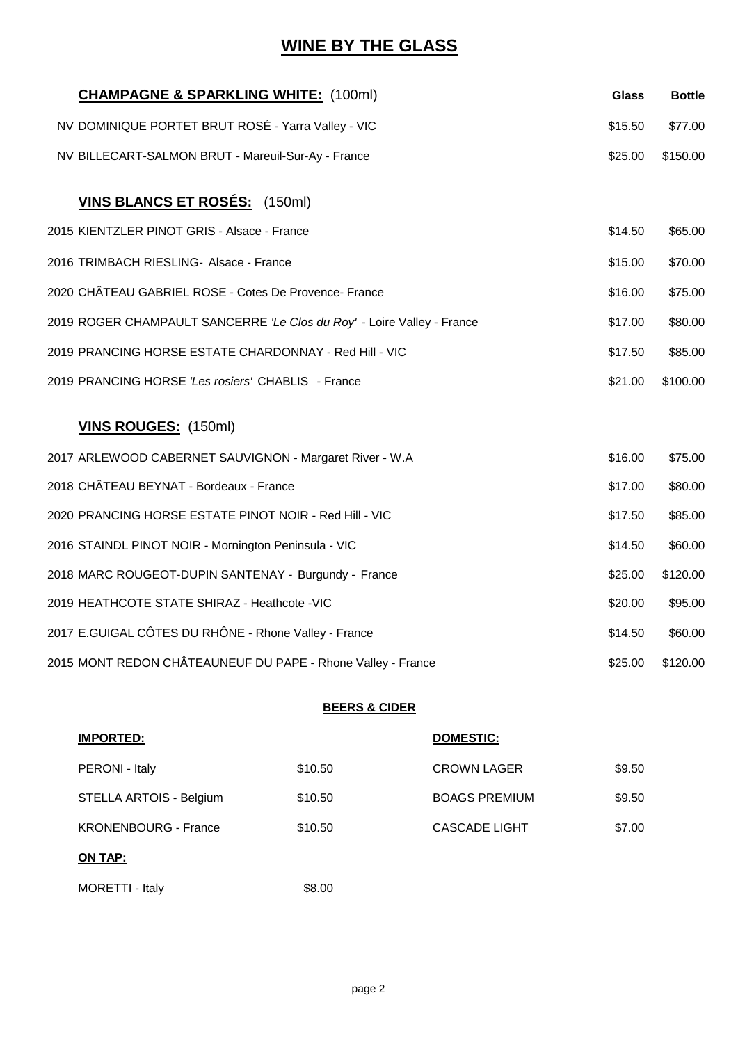# **WINE BY THE GLASS**

| <b>CHAMPAGNE &amp; SPARKLING WHITE: (100ml)</b>                        | <b>Glass</b> | <b>Bottle</b> |
|------------------------------------------------------------------------|--------------|---------------|
| NV DOMINIQUE PORTET BRUT ROSÉ - Yarra Valley - VIC                     | \$15.50      | \$77.00       |
| NV BILLECART-SALMON BRUT - Mareuil-Sur-Ay - France                     | \$25.00      | \$150.00      |
| <b>VINS BLANCS ET ROSÉS:</b> (150ml)                                   |              |               |
| 2015 KIENTZLER PINOT GRIS - Alsace - France                            | \$14.50      | \$65.00       |
| 2016 TRIMBACH RIESLING- Alsace - France                                | \$15.00      | \$70.00       |
| 2020 CHÂTEAU GABRIEL ROSE - Cotes De Provence- France                  | \$16.00      | \$75.00       |
| 2019 ROGER CHAMPAULT SANCERRE 'Le Clos du Roy' - Loire Valley - France | \$17.00      | \$80.00       |
| 2019 PRANCING HORSE ESTATE CHARDONNAY - Red Hill - VIC                 | \$17.50      | \$85.00       |
| 2019 PRANCING HORSE 'Les rosiers' CHABLIS - France                     | \$21.00      | \$100.00      |
| <b>VINS ROUGES:</b> (150ml)                                            |              |               |
| 2017 ARLEWOOD CABERNET SAUVIGNON - Margaret River - W.A                | \$16.00      | \$75.00       |
| 2018 CHÂTEAU BEYNAT - Bordeaux - France                                | \$17.00      | \$80.00       |
| 2020 PRANCING HORSE ESTATE PINOT NOIR - Red Hill - VIC                 | \$17.50      | \$85.00       |
| 2016 STAINDL PINOT NOIR - Mornington Peninsula - VIC                   | \$14.50      | \$60.00       |
| 2018 MARC ROUGEOT-DUPIN SANTENAY - Burgundy - France                   | \$25.00      | \$120.00      |
| 2019 HEATHCOTE STATE SHIRAZ - Heathcote -VIC                           | \$20.00      | \$95.00       |
| 2017 E.GUIGAL CÔTES DU RHÔNE - Rhone Valley - France                   | \$14.50      | \$60.00       |
| 2015 MONT REDON CHÂTEAUNEUF DU PAPE - Rhone Valley - France            | \$25.00      | \$120.00      |

#### **BEERS & CIDER**

| <b>IMPORTED:</b>            |         | DOMESTIC:            |        |
|-----------------------------|---------|----------------------|--------|
| PERONI - Italy              | \$10.50 | <b>CROWN LAGER</b>   | \$9.50 |
| STELLA ARTOIS - Belgium     | \$10.50 | <b>BOAGS PREMIUM</b> | \$9.50 |
| <b>KRONENBOURG - France</b> | \$10.50 | <b>CASCADE LIGHT</b> | \$7.00 |
| ON TAP:                     |         |                      |        |
| MORETTI - Italy             | \$8.00  |                      |        |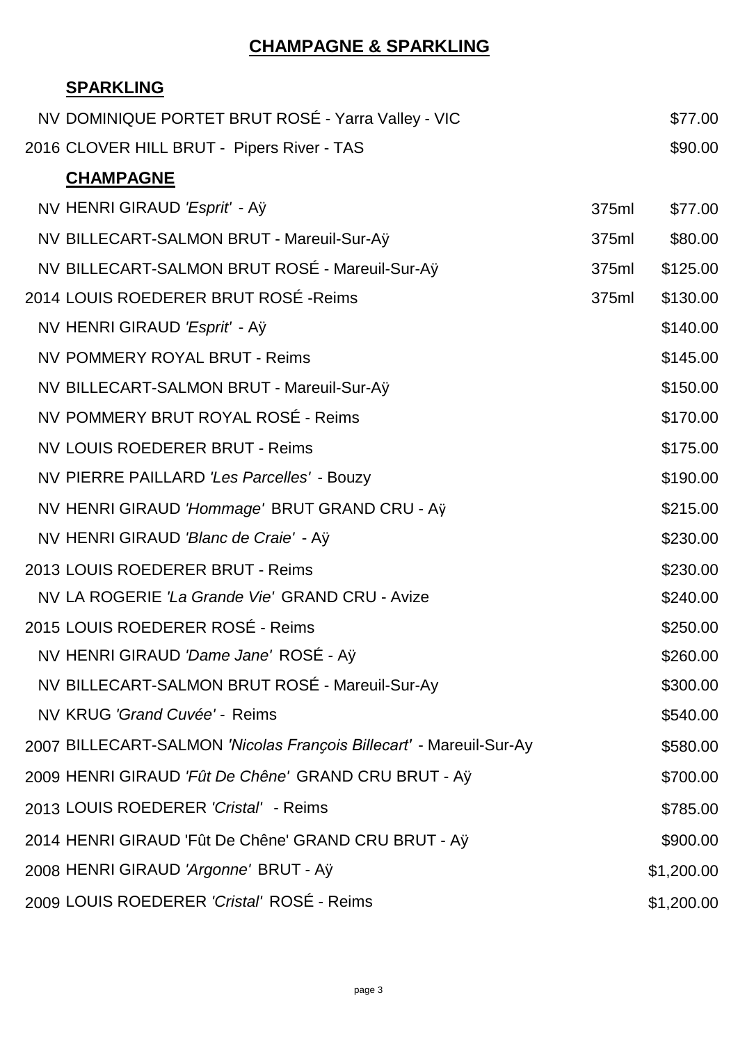# **CHAMPAGNE & SPARKLING**

## **SPARKLING**

| NV DOMINIQUE PORTET BRUT ROSE - Yarra Valley - VIC                  |       | \$77.00    |
|---------------------------------------------------------------------|-------|------------|
| 2016 CLOVER HILL BRUT - Pipers River - TAS                          |       | \$90.00    |
| <b>CHAMPAGNE</b>                                                    |       |            |
| NV HENRI GIRAUD 'Esprit' - Aÿ                                       | 375ml | \$77.00    |
| NV BILLECART-SALMON BRUT - Mareuil-Sur-Aÿ                           | 375ml | \$80.00    |
| NV BILLECART-SALMON BRUT ROSÉ - Mareuil-Sur-Aÿ                      | 375ml | \$125.00   |
| 2014 LOUIS ROEDERER BRUT ROSÉ - Reims                               | 375ml | \$130.00   |
| NV HENRI GIRAUD 'Esprit' - Aÿ                                       |       | \$140.00   |
| <b>NV POMMERY ROYAL BRUT - Reims</b>                                |       | \$145.00   |
| NV BILLECART-SALMON BRUT - Mareuil-Sur-Aÿ                           |       | \$150.00   |
| NV POMMERY BRUT ROYAL ROSÉ - Reims                                  |       | \$170.00   |
| <b>NV LOUIS ROEDERER BRUT - Reims</b>                               |       | \$175.00   |
| NV PIERRE PAILLARD 'Les Parcelles' - Bouzy                          |       | \$190.00   |
| NV HENRI GIRAUD 'Hommage' BRUT GRAND CRU - Aÿ                       |       | \$215.00   |
| NV HENRI GIRAUD 'Blanc de Craie' - Aÿ                               |       | \$230.00   |
| 2013 LOUIS ROEDERER BRUT - Reims                                    |       | \$230.00   |
| NV LA ROGERIE 'La Grande Vie' GRAND CRU - Avize                     |       | \$240.00   |
| 2015 LOUIS ROEDERER ROSÉ - Reims                                    |       | \$250.00   |
| NV HENRI GIRAUD 'Dame Jane' ROSE - Aÿ                               |       | \$260.00   |
| NV BILLECART-SALMON BRUT ROSÉ - Mareuil-Sur-Ay                      |       | \$300.00   |
| NV KRUG 'Grand Cuvée' - Reims                                       |       | \$540.00   |
| 2007 BILLECART-SALMON 'Nicolas François Billecart' - Mareuil-Sur-Ay |       | \$580.00   |
| 2009 HENRI GIRAUD 'Fût De Chêne' GRAND CRU BRUT - Aÿ                |       | \$700.00   |
| 2013 LOUIS ROEDERER 'Cristal' - Reims                               |       | \$785.00   |
| 2014 HENRI GIRAUD 'Fût De Chêne' GRAND CRU BRUT - Aÿ                |       | \$900.00   |
| 2008 HENRI GIRAUD 'Argonne' BRUT - Aÿ                               |       | \$1,200.00 |
| 2009 LOUIS ROEDERER 'Cristal' ROSÉ - Reims                          |       | \$1,200.00 |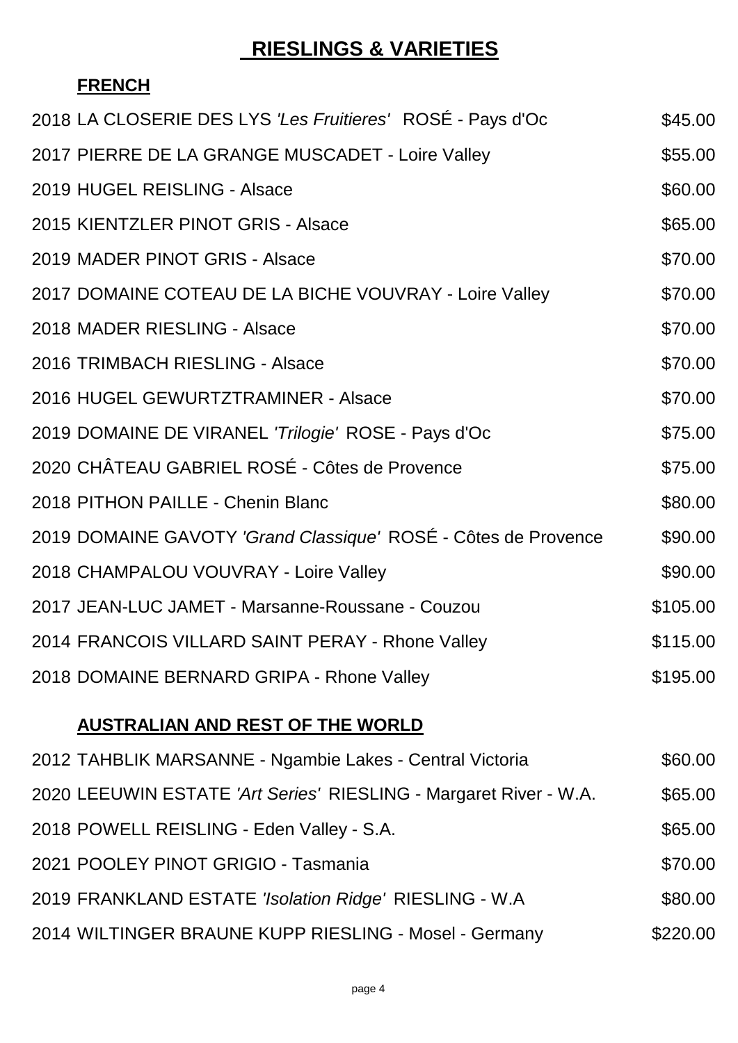# **RIESLINGS & VARIETIES**

# **FRENCH**

| 2018 LA CLOSERIE DES LYS 'Les Fruitieres' ROSE - Pays d'Oc        | \$45.00  |
|-------------------------------------------------------------------|----------|
| 2017 PIERRE DE LA GRANGE MUSCADET - Loire Valley                  | \$55.00  |
| 2019 HUGEL REISLING - Alsace                                      | \$60.00  |
| 2015 KIENTZLER PINOT GRIS - Alsace                                | \$65.00  |
| 2019 MADER PINOT GRIS - Alsace                                    | \$70.00  |
| 2017 DOMAINE COTEAU DE LA BICHE VOUVRAY - Loire Valley            | \$70.00  |
| 2018 MADER RIESLING - Alsace                                      | \$70.00  |
| 2016 TRIMBACH RIESLING - Alsace                                   | \$70.00  |
| 2016 HUGEL GEWURTZTRAMINER - Alsace                               | \$70.00  |
| 2019 DOMAINE DE VIRANEL 'Trilogie' ROSE - Pays d'Oc               | \$75.00  |
| 2020 CHÂTEAU GABRIEL ROSÉ - Côtes de Provence                     | \$75.00  |
| 2018 PITHON PAILLE - Chenin Blanc                                 | \$80.00  |
| 2019 DOMAINE GAVOTY 'Grand Classique' ROSÉ - Côtes de Provence    | \$90.00  |
| 2018 CHAMPALOU VOUVRAY - Loire Valley                             | \$90.00  |
| 2017 JEAN-LUC JAMET - Marsanne-Roussane - Couzou                  | \$105.00 |
| 2014 FRANCOIS VILLARD SAINT PERAY - Rhone Valley                  | \$115.00 |
| 2018 DOMAINE BERNARD GRIPA - Rhone Valley                         | \$195.00 |
| <b>AUSTRALIAN AND REST OF THE WORLD</b>                           |          |
| 2012 TAHBLIK MARSANNE - Ngambie Lakes - Central Victoria          | \$60.00  |
| 2020 LEEUWIN ESTATE 'Art Series' RIESLING - Margaret River - W.A. | \$65.00  |
| 2018 POWELL REISLING - Eden Valley - S.A.                         | \$65.00  |
| 2021 POOLEY PINOT GRIGIO - Tasmania                               | \$70.00  |
| 2019 FRANKLAND ESTATE 'Isolation Ridge' RIESLING - W.A            | \$80.00  |
| 2014 WILTINGER BRAUNE KUPP RIESLING - Mosel - Germany             | \$220.00 |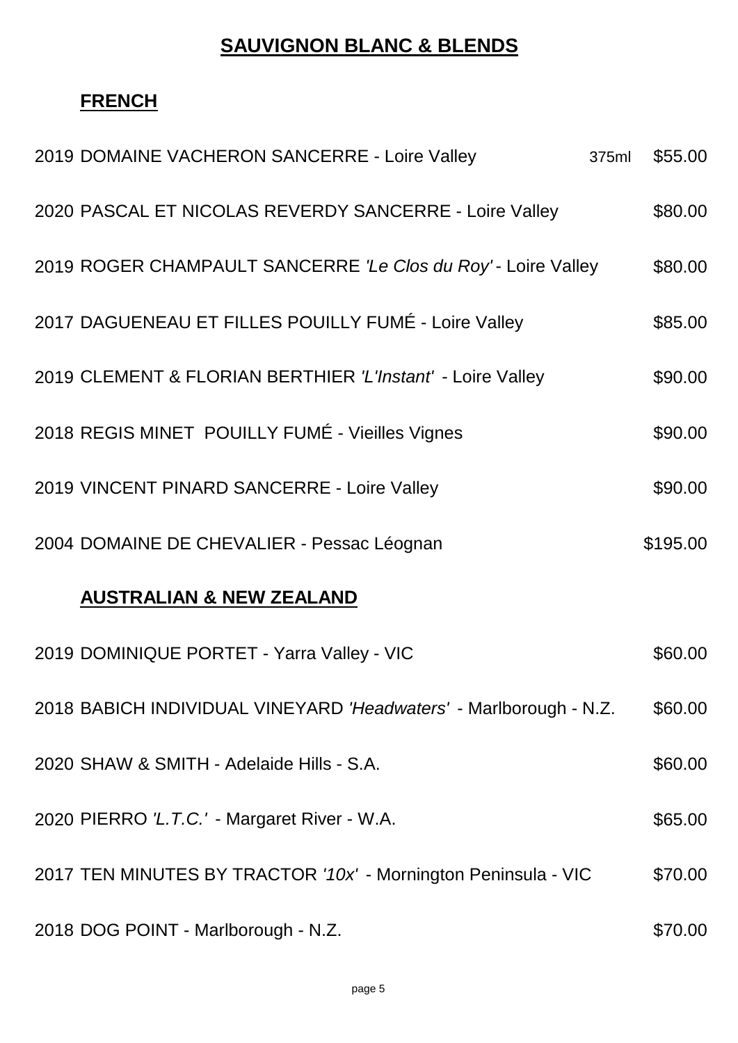# **SAUVIGNON BLANC & BLENDS**

# **FRENCH**

| 2019 DOMAINE VACHERON SANCERRE - Loire Valley                     | 375ml | \$55.00  |
|-------------------------------------------------------------------|-------|----------|
| 2020 PASCAL ET NICOLAS REVERDY SANCERRE - Loire Valley            |       | \$80.00  |
| 2019 ROGER CHAMPAULT SANCERRE 'Le Clos du Roy' - Loire Valley     |       | \$80.00  |
| 2017 DAGUENEAU ET FILLES POUILLY FUMÉ - Loire Valley              |       | \$85.00  |
| 2019 CLEMENT & FLORIAN BERTHIER 'L'Instant' - Loire Valley        |       | \$90.00  |
| 2018 REGIS MINET POUILLY FUMÉ - Vieilles Vignes                   |       | \$90.00  |
| 2019 VINCENT PINARD SANCERRE - Loire Valley                       |       | \$90.00  |
| 2004 DOMAINE DE CHEVALIER - Pessac Léognan                        |       | \$195.00 |
| <b>AUSTRALIAN &amp; NEW ZEALAND</b>                               |       |          |
| 2019 DOMINIQUE PORTET - Yarra Valley - VIC                        |       | \$60.00  |
| 2018 BABICH INDIVIDUAL VINEYARD 'Headwaters' - Marlborough - N.Z. |       | \$60.00  |
| 2020 SHAW & SMITH - Adelaide Hills - S.A.                         |       | \$60.00  |
| 2020 PIERRO 'L.T.C.' - Margaret River - W.A.                      |       | \$65.00  |
| 2017 TEN MINUTES BY TRACTOR '10x' - Mornington Peninsula - VIC    |       | \$70.00  |
| 2018 DOG POINT - Marlborough - N.Z.                               |       | \$70.00  |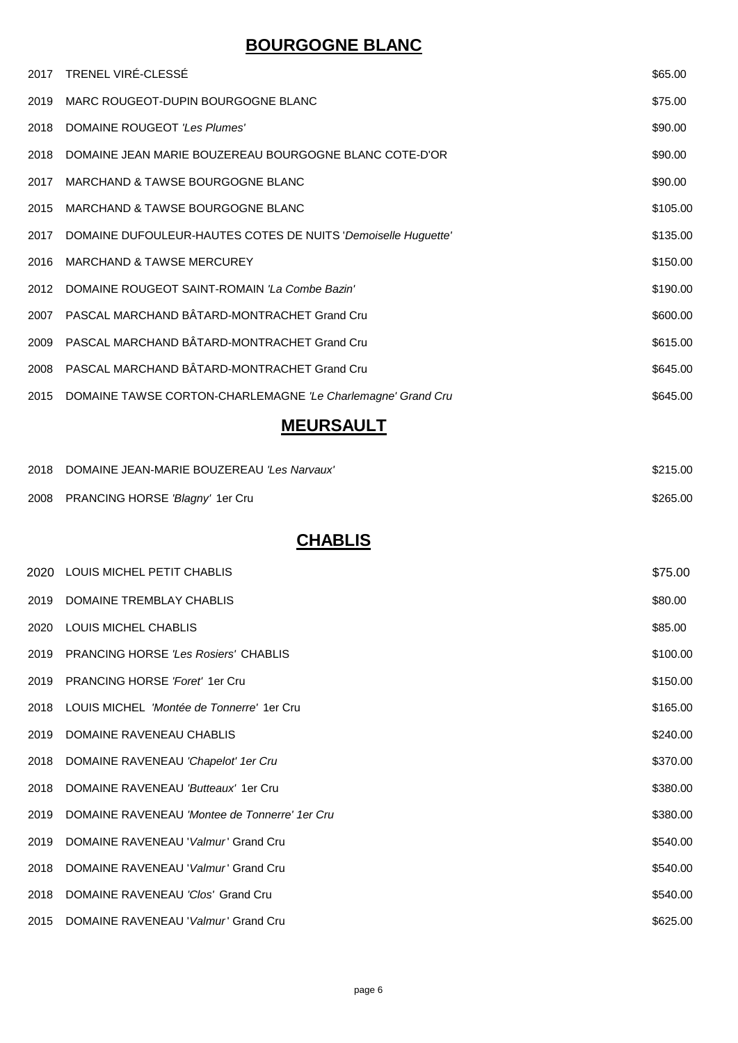## **BOURGOGNE BLANC**

|      | 2017 TRENEL VIRÉ-CLESSÉ                                          | \$65.00  |
|------|------------------------------------------------------------------|----------|
| 2019 | MARC ROUGEOT-DUPIN BOURGOGNE BLANC                               | \$75.00  |
| 2018 | DOMAINE ROUGEOT 'Les Plumes'                                     | \$90.00  |
|      | 2018 DOMAINE JEAN MARIE BOUZEREAU BOURGOGNE BLANC COTE-D'OR      | \$90.00  |
| 2017 | MARCHAND & TAWSE BOURGOGNE BLANC                                 | \$90.00  |
| 2015 | MARCHAND & TAWSE BOURGOGNE BLANC                                 | \$105.00 |
| 2017 | DOMAINE DUFOULEUR-HAUTES COTES DE NUITS 'Demoiselle Huguette'    | \$135.00 |
| 2016 | <b>MARCHAND &amp; TAWSE MERCUREY</b>                             | \$150.00 |
| 2012 | DOMAINE ROUGEOT SAINT-ROMAIN 'La Combe Bazin'                    | \$190.00 |
| 2007 | PASCAL MARCHAND BÂTARD-MONTRACHET Grand Cru                      | \$600.00 |
| 2009 | PASCAL MARCHAND BÂTARD-MONTRACHET Grand Cru                      | \$615.00 |
| 2008 | PASCAL MARCHAND BÂTARD-MONTRACHET Grand Cru                      | \$645.00 |
|      | 2015 DOMAINE TAWSE CORTON-CHARLEMAGNE 'Le Charlemagne' Grand Cru | \$645.00 |
|      |                                                                  |          |

#### **MEURSAULT**

| 2018 DOMAINE JEAN-MARIE BOUZEREAU 'Les Narvaux' | \$215.00 |
|-------------------------------------------------|----------|
| 2008 PRANCING HORSE 'Blagny' 1er Cru            | \$265.00 |

# **CHABLIS**

|      | 2020 LOUIS MICHEL PETIT CHABLIS               | \$75.00  |
|------|-----------------------------------------------|----------|
| 2019 | DOMAINE TREMBLAY CHABLIS                      | \$80.00  |
| 2020 | LOUIS MICHEL CHABLIS                          | \$85.00  |
| 2019 | <b>PRANCING HORSE 'Les Rosiers' CHABLIS</b>   | \$100.00 |
| 2019 | <b>PRANCING HORSE 'Foret' 1er Cru</b>         | \$150.00 |
| 2018 | LOUIS MICHEL 'Montée de Tonnerre' 1er Cru     | \$165.00 |
| 2019 | DOMAINE RAVENEAU CHABLIS                      | \$240.00 |
| 2018 | DOMAINE RAVENEAU 'Chapelot' 1er Cru           | \$370.00 |
| 2018 | DOMAINE RAVENEAU 'Butteaux' 1er Cru           | \$380.00 |
| 2019 | DOMAINE RAVENEAU 'Montee de Tonnerre' 1er Cru | \$380.00 |
| 2019 | DOMAINE RAVENEAU 'Valmur' Grand Cru           | \$540.00 |
| 2018 | DOMAINE RAVENEAU 'Valmur' Grand Cru           | \$540.00 |
| 2018 | DOMAINE RAVENEAU 'Clos' Grand Cru             | \$540.00 |
|      | 2015 DOMAINE RAVENEAU 'Valmur' Grand Cru      | \$625.00 |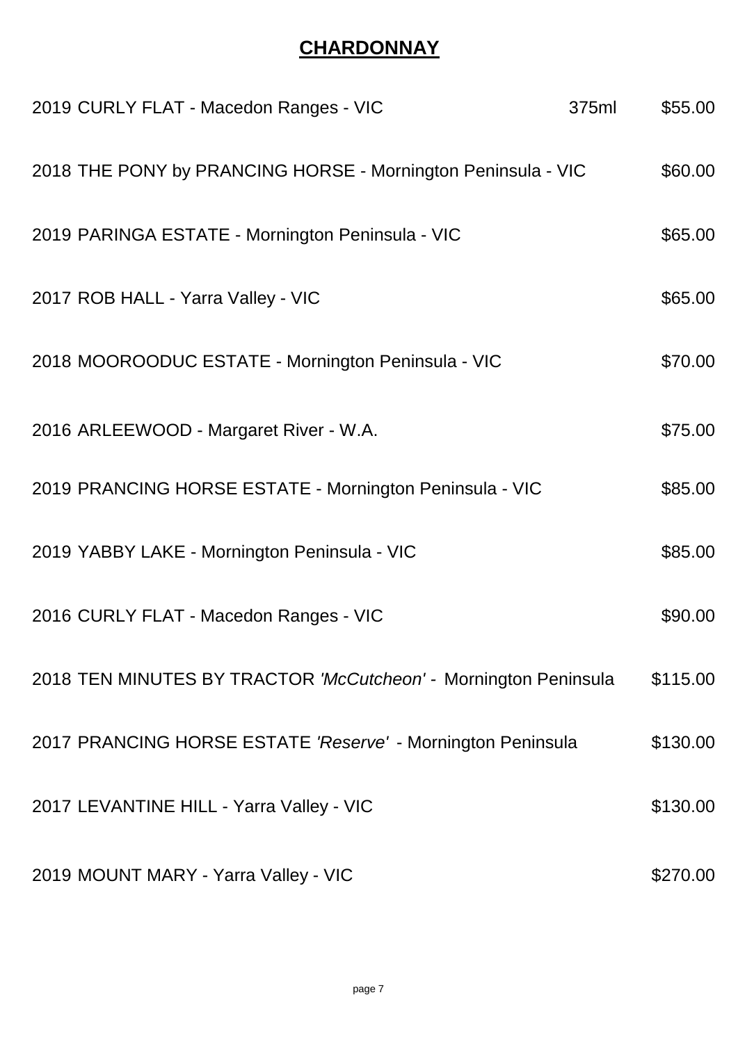# **CHARDONNAY**

| 2019 CURLY FLAT - Macedon Ranges - VIC                          | 375ml | \$55.00  |
|-----------------------------------------------------------------|-------|----------|
| 2018 THE PONY by PRANCING HORSE - Mornington Peninsula - VIC    |       | \$60.00  |
| 2019 PARINGA ESTATE - Mornington Peninsula - VIC                |       | \$65.00  |
| 2017 ROB HALL - Yarra Valley - VIC                              |       | \$65.00  |
| 2018 MOOROODUC ESTATE - Mornington Peninsula - VIC              |       | \$70.00  |
| 2016 ARLEEWOOD - Margaret River - W.A.                          |       | \$75.00  |
| 2019 PRANCING HORSE ESTATE - Mornington Peninsula - VIC         |       | \$85.00  |
| 2019 YABBY LAKE - Mornington Peninsula - VIC                    |       | \$85.00  |
| 2016 CURLY FLAT - Macedon Ranges - VIC                          |       | \$90.00  |
| 2018 TEN MINUTES BY TRACTOR 'McCutcheon' - Mornington Peninsula |       | \$115.00 |
| 2017 PRANCING HORSE ESTATE 'Reserve' - Mornington Peninsula     |       | \$130.00 |
| 2017 LEVANTINE HILL - Yarra Valley - VIC                        |       | \$130.00 |
| 2019 MOUNT MARY - Yarra Valley - VIC                            |       | \$270.00 |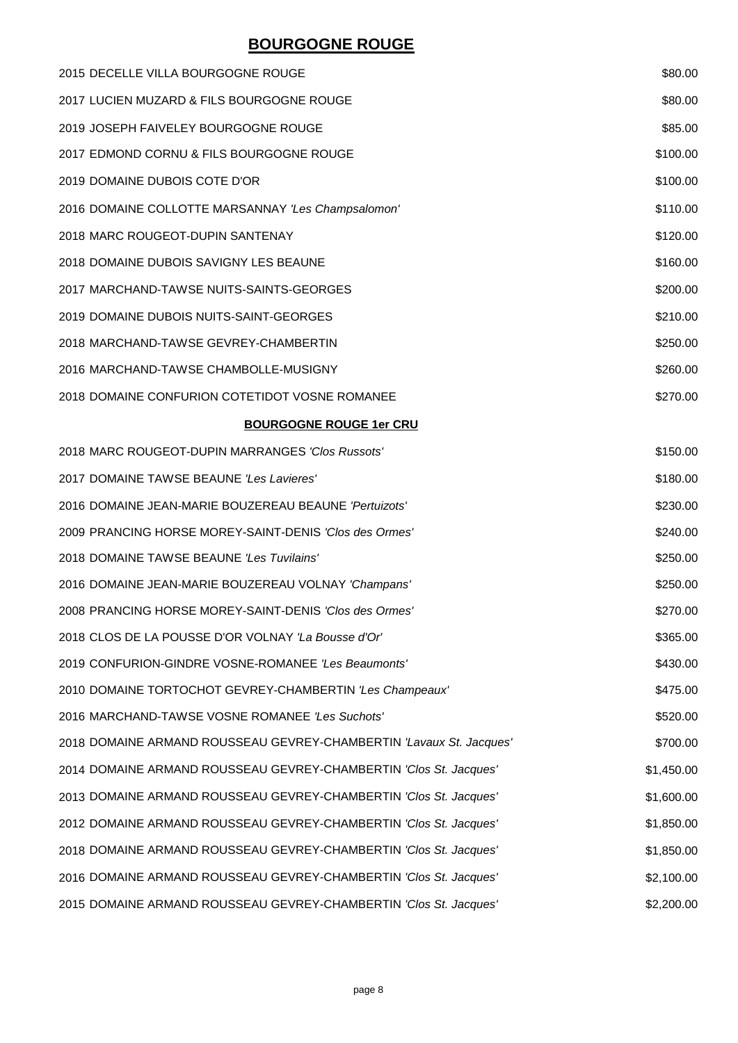## **BOURGOGNE ROUGE**

| 2015 DECELLE VILLA BOURGOGNE ROUGE                                  | \$80.00    |
|---------------------------------------------------------------------|------------|
| 2017 LUCIEN MUZARD & FILS BOURGOGNE ROUGE                           | \$80.00    |
| 2019 JOSEPH FAIVELEY BOURGOGNE ROUGE                                | \$85.00    |
| 2017 EDMOND CORNU & FILS BOURGOGNE ROUGE                            | \$100.00   |
| 2019 DOMAINE DUBOIS COTE D'OR                                       | \$100.00   |
| 2016 DOMAINE COLLOTTE MARSANNAY 'Les Champsalomon'                  | \$110.00   |
| 2018 MARC ROUGEOT-DUPIN SANTENAY                                    | \$120.00   |
| 2018 DOMAINE DUBOIS SAVIGNY LES BEAUNE                              | \$160.00   |
| 2017 MARCHAND-TAWSE NUITS-SAINTS-GEORGES                            | \$200.00   |
| 2019 DOMAINE DUBOIS NUITS-SAINT-GEORGES                             | \$210.00   |
| 2018 MARCHAND-TAWSE GEVREY-CHAMBERTIN                               | \$250.00   |
| 2016 MARCHAND-TAWSE CHAMBOLLE-MUSIGNY                               | \$260.00   |
| 2018 DOMAINE CONFURION COTETIDOT VOSNE ROMANEE                      | \$270.00   |
| <b>BOURGOGNE ROUGE 1er CRU</b>                                      |            |
| 2018 MARC ROUGEOT-DUPIN MARRANGES 'Clos Russots'                    | \$150.00   |
| 2017 DOMAINE TAWSE BEAUNE 'Les Lavieres'                            | \$180.00   |
| 2016 DOMAINE JEAN-MARIE BOUZEREAU BEAUNE 'Pertuizots'               | \$230.00   |
| 2009 PRANCING HORSE MOREY-SAINT-DENIS 'Clos des Ormes'              | \$240.00   |
| 2018 DOMAINE TAWSE BEAUNE 'Les Tuvilains'                           | \$250.00   |
| 2016 DOMAINE JEAN-MARIE BOUZEREAU VOLNAY 'Champans'                 | \$250.00   |
| 2008 PRANCING HORSE MOREY-SAINT-DENIS 'Clos des Ormes'              | \$270.00   |
| 2018 CLOS DE LA POUSSE D'OR VOLNAY 'La Bousse d'Or'                 | \$365.00   |
| 2019 CONFURION-GINDRE VOSNE-ROMANEE 'Les Beaumonts'                 | \$430.00   |
| 2010 DOMAINE TORTOCHOT GEVREY-CHAMBERTIN 'Les Champeaux'            | \$475.00   |
| 2016 MARCHAND-TAWSE VOSNE ROMANEE 'Les Suchots'                     | \$520.00   |
| 2018 DOMAINE ARMAND ROUSSEAU GEVREY-CHAMBERTIN 'Lavaux St. Jacques' | \$700.00   |
| 2014 DOMAINE ARMAND ROUSSEAU GEVREY-CHAMBERTIN 'Clos St. Jacques'   | \$1,450.00 |
| 2013 DOMAINE ARMAND ROUSSEAU GEVREY-CHAMBERTIN 'Clos St. Jacques'   | \$1,600.00 |
| 2012 DOMAINE ARMAND ROUSSEAU GEVREY-CHAMBERTIN 'Clos St. Jacques'   | \$1,850.00 |
| 2018 DOMAINE ARMAND ROUSSEAU GEVREY-CHAMBERTIN 'Clos St. Jacques'   | \$1,850.00 |
| 2016 DOMAINE ARMAND ROUSSEAU GEVREY-CHAMBERTIN 'Clos St. Jacques'   | \$2,100.00 |
| 2015 DOMAINE ARMAND ROUSSEAU GEVREY-CHAMBERTIN 'Clos St. Jacques'   | \$2,200.00 |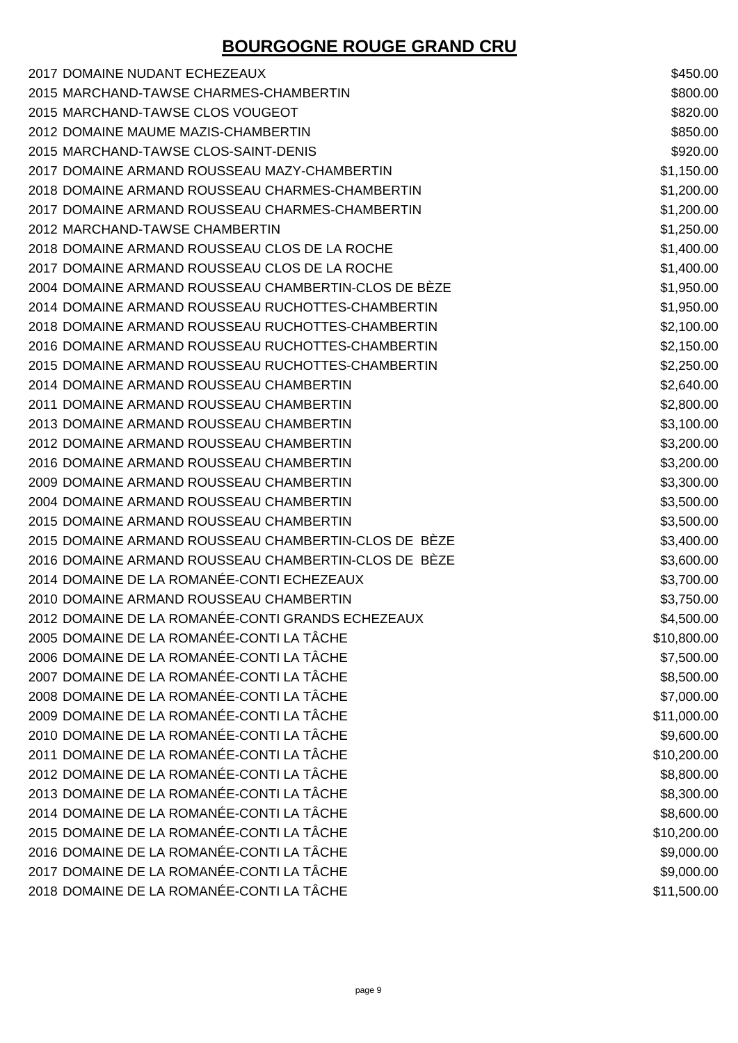# **BOURGOGNE ROUGE GRAND CRU**

| 2017 DOMAINE NUDANT ECHEZEAUX                        | \$450.00    |
|------------------------------------------------------|-------------|
| 2015 MARCHAND-TAWSE CHARMES-CHAMBERTIN               | \$800.00    |
| 2015 MARCHAND-TAWSE CLOS VOUGEOT                     | \$820.00    |
| 2012 DOMAINE MAUME MAZIS-CHAMBERTIN                  | \$850.00    |
| 2015 MARCHAND-TAWSE CLOS-SAINT-DENIS                 | \$920.00    |
| 2017 DOMAINE ARMAND ROUSSEAU MAZY-CHAMBERTIN         | \$1,150.00  |
| 2018 DOMAINE ARMAND ROUSSEAU CHARMES-CHAMBERTIN      | \$1,200.00  |
| 2017 DOMAINE ARMAND ROUSSEAU CHARMES-CHAMBERTIN      | \$1,200.00  |
| 2012 MARCHAND-TAWSE CHAMBERTIN                       | \$1,250.00  |
| 2018 DOMAINE ARMAND ROUSSEAU CLOS DE LA ROCHE        | \$1,400.00  |
| 2017 DOMAINE ARMAND ROUSSEAU CLOS DE LA ROCHE        | \$1,400.00  |
| 2004 DOMAINE ARMAND ROUSSEAU CHAMBERTIN-CLOS DE BÈZE | \$1,950.00  |
| 2014 DOMAINE ARMAND ROUSSEAU RUCHOTTES-CHAMBERTIN    | \$1,950.00  |
| 2018 DOMAINE ARMAND ROUSSEAU RUCHOTTES-CHAMBERTIN    | \$2,100.00  |
| 2016 DOMAINE ARMAND ROUSSEAU RUCHOTTES-CHAMBERTIN    | \$2,150.00  |
| 2015 DOMAINE ARMAND ROUSSEAU RUCHOTTES-CHAMBERTIN    | \$2,250.00  |
| 2014 DOMAINE ARMAND ROUSSEAU CHAMBERTIN              | \$2,640.00  |
| 2011 DOMAINE ARMAND ROUSSEAU CHAMBERTIN              | \$2,800.00  |
| 2013 DOMAINE ARMAND ROUSSEAU CHAMBERTIN              | \$3,100.00  |
| 2012 DOMAINE ARMAND ROUSSEAU CHAMBERTIN              | \$3,200.00  |
| 2016 DOMAINE ARMAND ROUSSEAU CHAMBERTIN              | \$3,200.00  |
| 2009 DOMAINE ARMAND ROUSSEAU CHAMBERTIN              | \$3,300.00  |
| 2004 DOMAINE ARMAND ROUSSEAU CHAMBERTIN              | \$3,500.00  |
| 2015 DOMAINE ARMAND ROUSSEAU CHAMBERTIN              | \$3,500.00  |
| 2015 DOMAINE ARMAND ROUSSEAU CHAMBERTIN-CLOS DE BÈZE | \$3,400.00  |
| 2016 DOMAINE ARMAND ROUSSEAU CHAMBERTIN-CLOS DE BÈZE | \$3,600.00  |
| 2014 DOMAINE DE LA ROMANÉE-CONTI ECHEZEAUX           | \$3,700.00  |
| 2010 DOMAINE ARMAND ROUSSEAU CHAMBERTIN              | \$3,750.00  |
| 2012 DOMAINE DE LA ROMANÉE-CONTI GRANDS ECHEZEAUX    | \$4,500.00  |
| 2005 DOMAINE DE LA ROMANÉE-CONTI LA TÂCHE            | \$10,800.00 |
| 2006 DOMAINE DE LA ROMANÉE-CONTI LA TÂCHE            | \$7,500.00  |
| 2007 DOMAINE DE LA ROMANÉE-CONTI LA TÂCHE            | \$8,500.00  |
| 2008 DOMAINE DE LA ROMANÉE-CONTI LA TÂCHE            | \$7,000.00  |
| 2009 DOMAINE DE LA ROMANÉE-CONTI LA TÂCHE            | \$11,000.00 |
| 2010 DOMAINE DE LA ROMANÉE-CONTI LA TÂCHE            | \$9,600.00  |
| 2011 DOMAINE DE LA ROMANÉE-CONTI LA TÂCHE            | \$10,200.00 |
| 2012 DOMAINE DE LA ROMANÉE-CONTI LA TÂCHE            | \$8,800.00  |
| 2013 DOMAINE DE LA ROMANÉE-CONTI LA TÂCHE            | \$8,300.00  |
| 2014 DOMAINE DE LA ROMANÉE-CONTI LA TÂCHE            | \$8,600.00  |
| 2015 DOMAINE DE LA ROMANÉE-CONTI LA TÂCHE            | \$10,200.00 |
| 2016 DOMAINE DE LA ROMANÉE-CONTI LA TÂCHE            | \$9,000.00  |
| 2017 DOMAINE DE LA ROMANÉE-CONTI LA TÂCHE            | \$9,000.00  |
| 2018 DOMAINE DE LA ROMANÉE-CONTI LA TÂCHE            | \$11,500.00 |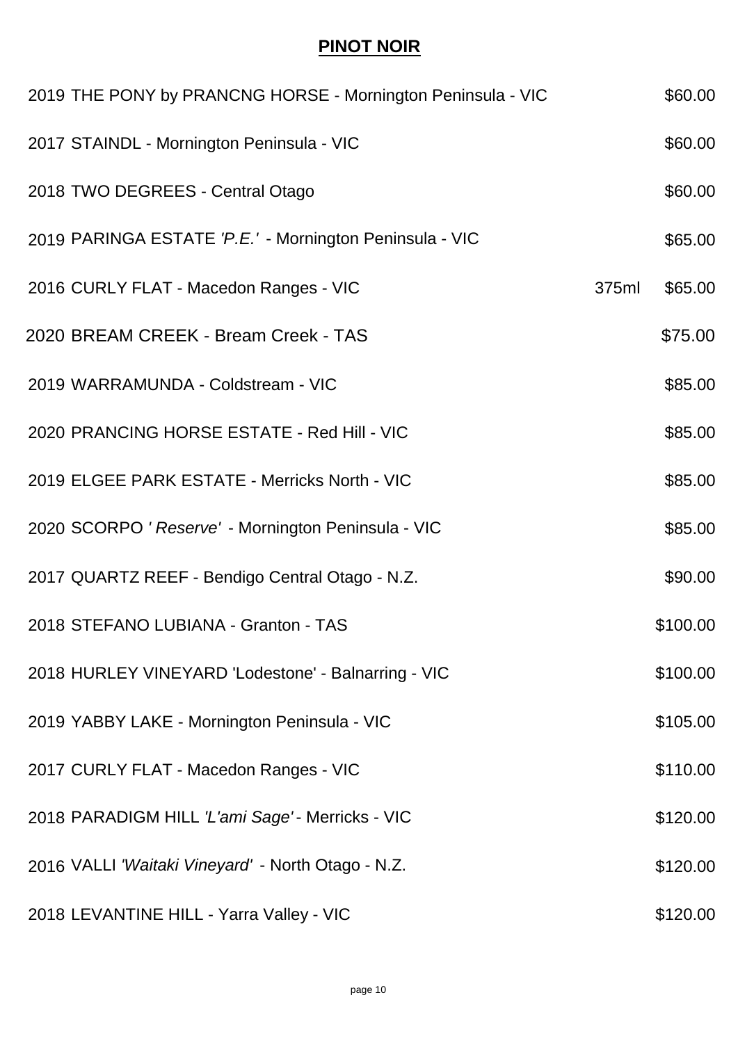#### **PINOT NOIR**

| 2019 THE PONY by PRANCNG HORSE - Mornington Peninsula - VIC |       | \$60.00  |
|-------------------------------------------------------------|-------|----------|
| 2017 STAINDL - Mornington Peninsula - VIC                   |       | \$60.00  |
| 2018 TWO DEGREES - Central Otago                            |       | \$60.00  |
| 2019 PARINGA ESTATE 'P.E.' - Mornington Peninsula - VIC     |       | \$65.00  |
| 2016 CURLY FLAT - Macedon Ranges - VIC                      | 375ml | \$65.00  |
| 2020 BREAM CREEK - Bream Creek - TAS                        |       | \$75.00  |
| 2019 WARRAMUNDA - Coldstream - VIC                          |       | \$85.00  |
| 2020 PRANCING HORSE ESTATE - Red Hill - VIC                 |       | \$85.00  |
| 2019 ELGEE PARK ESTATE - Merricks North - VIC               |       | \$85.00  |
| 2020 SCORPO ' Reserve' - Mornington Peninsula - VIC         |       | \$85.00  |
| 2017 QUARTZ REEF - Bendigo Central Otago - N.Z.             |       | \$90.00  |
| 2018 STEFANO LUBIANA - Granton - TAS                        |       | \$100.00 |
| 2018 HURLEY VINEYARD 'Lodestone' - Balnarring - VIC         |       | \$100.00 |
| 2019 YABBY LAKE - Mornington Peninsula - VIC                |       | \$105.00 |
| 2017 CURLY FLAT - Macedon Ranges - VIC                      |       | \$110.00 |
| 2018 PARADIGM HILL 'L'ami Sage' - Merricks - VIC            |       | \$120.00 |
| 2016 VALLI 'Waitaki Vineyard' - North Otago - N.Z.          |       | \$120.00 |
| 2018 LEVANTINE HILL - Yarra Valley - VIC                    |       | \$120.00 |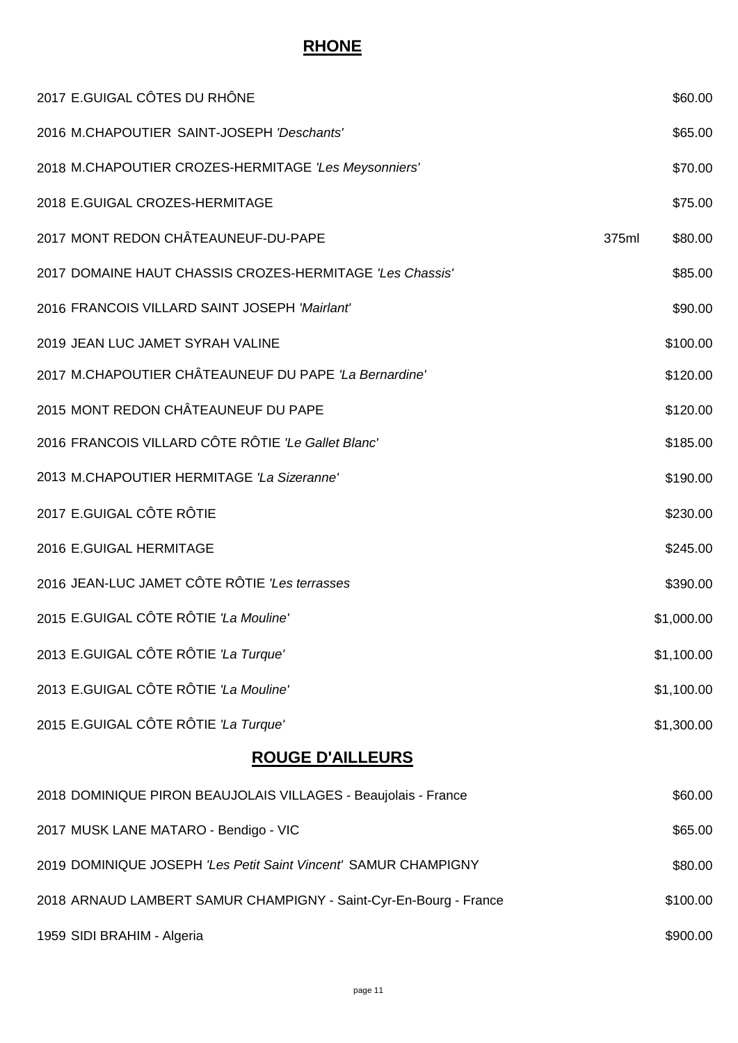#### **RHONE**

| 2017 E.GUIGAL CÔTES DU RHÔNE                                      |       | \$60.00    |
|-------------------------------------------------------------------|-------|------------|
| 2016 M.CHAPOUTIER SAINT-JOSEPH 'Deschants'                        |       | \$65.00    |
| 2018 M.CHAPOUTIER CROZES-HERMITAGE 'Les Meysonniers'              |       | \$70.00    |
| 2018 E.GUIGAL CROZES-HERMITAGE                                    |       | \$75.00    |
| 2017 MONT REDON CHÂTEAUNEUF-DU-PAPE                               | 375ml | \$80.00    |
| 2017 DOMAINE HAUT CHASSIS CROZES-HERMITAGE 'Les Chassis'          |       | \$85.00    |
| 2016 FRANCOIS VILLARD SAINT JOSEPH 'Mairlant'                     |       | \$90.00    |
| 2019 JEAN LUC JAMET SYRAH VALINE                                  |       | \$100.00   |
| 2017 M.CHAPOUTIER CHÂTEAUNEUF DU PAPE 'La Bernardine'             |       | \$120.00   |
| 2015 MONT REDON CHÂTEAUNEUF DU PAPE                               |       | \$120.00   |
| 2016 FRANCOIS VILLARD CÔTE RÔTIE 'Le Gallet Blanc'                |       | \$185.00   |
| 2013 M.CHAPOUTIER HERMITAGE 'La Sizeranne'                        |       | \$190.00   |
| 2017 E.GUIGAL CÔTE RÔTIE                                          |       | \$230.00   |
| 2016 E.GUIGAL HERMITAGE                                           |       | \$245.00   |
| 2016 JEAN-LUC JAMET CÔTE RÔTIE 'Les terrasses                     |       | \$390.00   |
| 2015 E.GUIGAL CÔTE RÔTIE 'La Mouline'                             |       | \$1,000.00 |
| 2013 E.GUIGAL CÔTE RÔTIE 'La Turque'                              |       | \$1,100.00 |
| 2013 E.GUIGAL CÔTE RÔTIE 'La Mouline'                             |       | \$1,100.00 |
| 2015 E.GUIGAL CÔTE RÔTIE 'La Turque'                              |       | \$1,300.00 |
| <b>ROUGE D'AILLEURS</b>                                           |       |            |
| 2018 DOMINIQUE PIRON BEAUJOLAIS VILLAGES - Beaujolais - France    |       | \$60.00    |
| 2017 MUSK LANE MATARO - Bendigo - VIC                             |       | \$65.00    |
| 2019 DOMINIQUE JOSEPH 'Les Petit Saint Vincent' SAMUR CHAMPIGNY   |       | \$80.00    |
| 2018 ARNAUD LAMBERT SAMUR CHAMPIGNY - Saint-Cyr-En-Bourg - France |       | \$100.00   |
| 1959 SIDI BRAHIM - Algeria                                        |       | \$900.00   |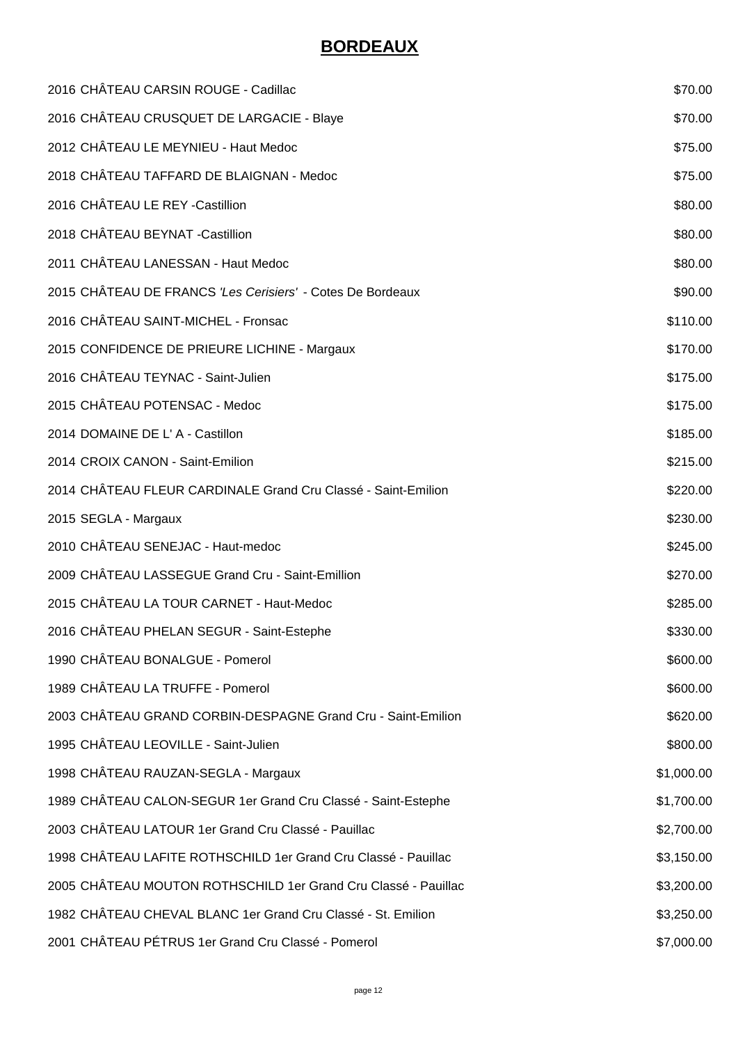## **BORDEAUX**

| 2016 CHÂTEAU CARSIN ROUGE - Cadillac                           | \$70.00    |
|----------------------------------------------------------------|------------|
| 2016 CHÂTEAU CRUSQUET DE LARGACIE - Blaye                      | \$70.00    |
| 2012 CHÂTEAU LE MEYNIEU - Haut Medoc                           | \$75.00    |
| 2018 CHÂTEAU TAFFARD DE BLAIGNAN - Medoc                       | \$75.00    |
| 2016 CHÂTEAU LE REY -Castillion                                | \$80.00    |
| 2018 CHÂTEAU BEYNAT - Castillion                               | \$80.00    |
| 2011 CHÂTEAU LANESSAN - Haut Medoc                             | \$80.00    |
| 2015 CHÂTEAU DE FRANCS 'Les Cerisiers' - Cotes De Bordeaux     | \$90.00    |
| 2016 CHÂTEAU SAINT-MICHEL - Fronsac                            | \$110.00   |
| 2015 CONFIDENCE DE PRIEURE LICHINE - Margaux                   | \$170.00   |
| 2016 CHÂTEAU TEYNAC - Saint-Julien                             | \$175.00   |
| 2015 CHÂTEAU POTENSAC - Medoc                                  | \$175.00   |
| 2014 DOMAINE DE L' A - Castillon                               | \$185.00   |
| 2014 CROIX CANON - Saint-Emilion                               | \$215.00   |
| 2014 CHÂTEAU FLEUR CARDINALE Grand Cru Classé - Saint-Emilion  | \$220.00   |
| 2015 SEGLA - Margaux                                           | \$230.00   |
| 2010 CHÂTEAU SENEJAC - Haut-medoc                              | \$245.00   |
| 2009 CHÂTEAU LASSEGUE Grand Cru - Saint-Emillion               | \$270.00   |
| 2015 CHÂTEAU LA TOUR CARNET - Haut-Medoc                       | \$285.00   |
| 2016 CHÂTEAU PHELAN SEGUR - Saint-Estephe                      | \$330.00   |
| 1990 CHÂTEAU BONALGUE - Pomerol                                | \$600.00   |
| 1989 CHÂTEAU LA TRUFFE - Pomerol                               | \$600.00   |
| 2003 CHÂTEAU GRAND CORBIN-DESPAGNE Grand Cru - Saint-Emilion   | \$620.00   |
| 1995 CHÂTEAU LEOVILLE - Saint-Julien                           | \$800.00   |
| 1998 CHÂTEAU RAUZAN-SEGLA - Margaux                            | \$1,000.00 |
| 1989 CHÂTEAU CALON-SEGUR 1er Grand Cru Classé - Saint-Estephe  | \$1,700.00 |
| 2003 CHÂTEAU LATOUR 1er Grand Cru Classé - Pauillac            | \$2,700.00 |
| 1998 CHÂTEAU LAFITE ROTHSCHILD 1er Grand Cru Classé - Pauillac | \$3,150.00 |
| 2005 CHÂTEAU MOUTON ROTHSCHILD 1er Grand Cru Classé - Pauillac | \$3,200.00 |
| 1982 CHÂTEAU CHEVAL BLANC 1er Grand Cru Classé - St. Emilion   | \$3,250.00 |
| 2001 CHÂTEAU PÉTRUS 1er Grand Cru Classé - Pomerol             | \$7,000.00 |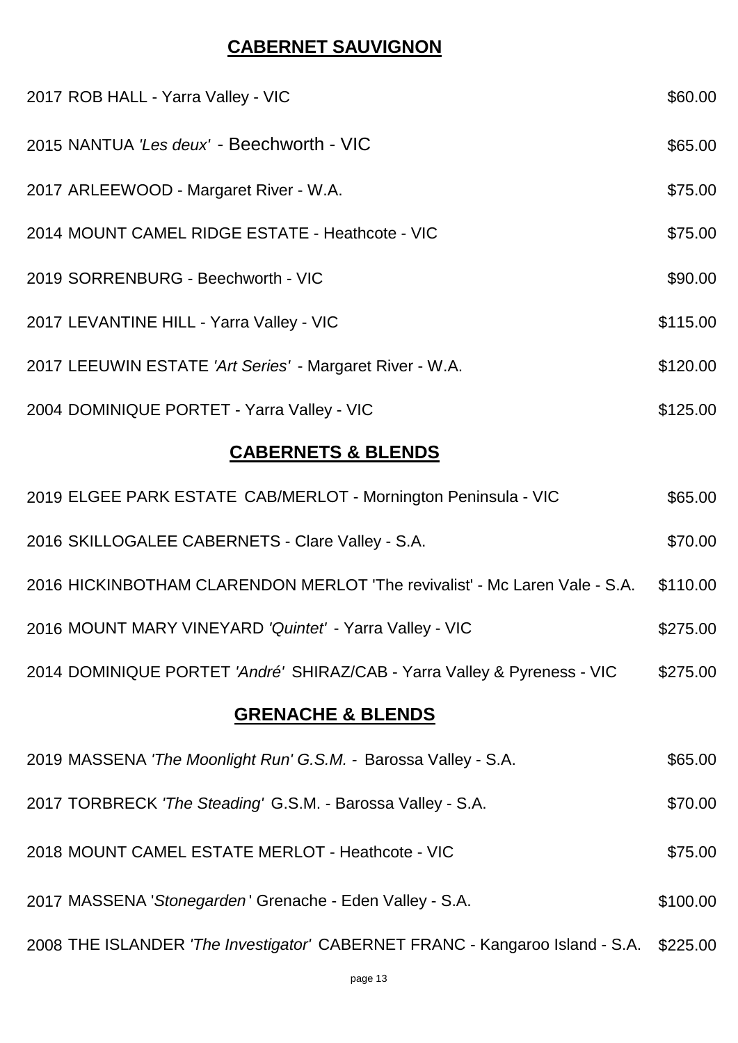## **CABERNET SAUVIGNON**

| 2017 ROB HALL - Yarra Valley - VIC                                         | \$60.00  |  |
|----------------------------------------------------------------------------|----------|--|
| 2015 NANTUA 'Les deux' - Beechworth - VIC                                  | \$65.00  |  |
| 2017 ARLEEWOOD - Margaret River - W.A.                                     | \$75.00  |  |
| 2014 MOUNT CAMEL RIDGE ESTATE - Heathcote - VIC                            | \$75.00  |  |
| 2019 SORRENBURG - Beechworth - VIC                                         | \$90.00  |  |
| 2017 LEVANTINE HILL - Yarra Valley - VIC                                   | \$115.00 |  |
| 2017 LEEUWIN ESTATE 'Art Series' - Margaret River - W.A.                   | \$120.00 |  |
| 2004 DOMINIQUE PORTET - Yarra Valley - VIC                                 | \$125.00 |  |
| <b>CABERNETS &amp; BLENDS</b>                                              |          |  |
| 2019 ELGEE PARK ESTATE CAB/MERLOT - Mornington Peninsula - VIC             | \$65.00  |  |
| 2016 SKILLOGALEE CABERNETS - Clare Valley - S.A.                           | \$70.00  |  |
| 2016 HICKINBOTHAM CLARENDON MERLOT 'The revivalist' - Mc Laren Vale - S.A. | \$110.00 |  |
| 2016 MOUNT MARY VINEYARD 'Quintet' - Yarra Valley - VIC                    | \$275.00 |  |

# **GRENACHE & BLENDS**

| 2019 MASSENA 'The Moonlight Run' G.S.M. - Barossa Valley - S.A.                       | \$65.00  |
|---------------------------------------------------------------------------------------|----------|
| 2017 TORBRECK 'The Steading' G.S.M. - Barossa Valley - S.A.                           | \$70.00  |
| 2018 MOUNT CAMEL ESTATE MERLOT - Heathcote - VIC                                      | \$75.00  |
| 2017 MASSENA 'Stonegarden' Grenache - Eden Valley - S.A.                              | \$100.00 |
| 2008 THE ISLANDER 'The Investigator' CABERNET FRANC - Kangaroo Island - S.A. \$225.00 |          |

DOMINIQUE PORTET *'André'* SHIRAZ/CAB - Yarra Valley & Pyreness - VIC \$275.00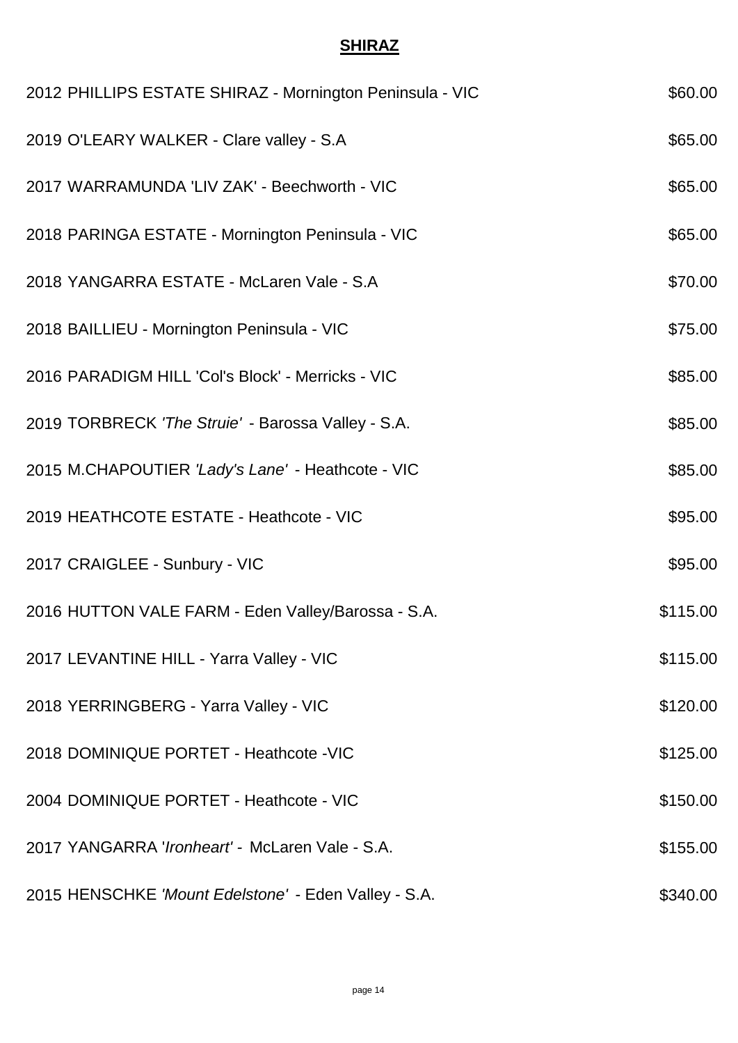#### **SHIRAZ**

| 2012 PHILLIPS ESTATE SHIRAZ - Mornington Peninsula - VIC | \$60.00  |
|----------------------------------------------------------|----------|
| 2019 O'LEARY WALKER - Clare valley - S.A                 | \$65.00  |
| 2017 WARRAMUNDA 'LIV ZAK' - Beechworth - VIC             | \$65.00  |
| 2018 PARINGA ESTATE - Mornington Peninsula - VIC         | \$65.00  |
| 2018 YANGARRA ESTATE - McLaren Vale - S.A                | \$70.00  |
| 2018 BAILLIEU - Mornington Peninsula - VIC               | \$75.00  |
| 2016 PARADIGM HILL 'Col's Block' - Merricks - VIC        | \$85.00  |
| 2019 TORBRECK 'The Struie' - Barossa Valley - S.A.       | \$85.00  |
| 2015 M.CHAPOUTIER 'Lady's Lane' - Heathcote - VIC        | \$85.00  |
| 2019 HEATHCOTE ESTATE - Heathcote - VIC                  | \$95.00  |
| 2017 CRAIGLEE - Sunbury - VIC                            | \$95.00  |
| 2016 HUTTON VALE FARM - Eden Valley/Barossa - S.A.       | \$115.00 |
| 2017 LEVANTINE HILL - Yarra Valley - VIC                 | \$115.00 |
| 2018 YERRINGBERG - Yarra Valley - VIC                    | \$120.00 |
| 2018 DOMINIQUE PORTET - Heathcote - VIC                  | \$125.00 |
| 2004 DOMINIQUE PORTET - Heathcote - VIC                  | \$150.00 |
| 2017 YANGARRA 'Ironheart' - McLaren Vale - S.A.          | \$155.00 |
| 2015 HENSCHKE 'Mount Edelstone' - Eden Valley - S.A.     | \$340.00 |